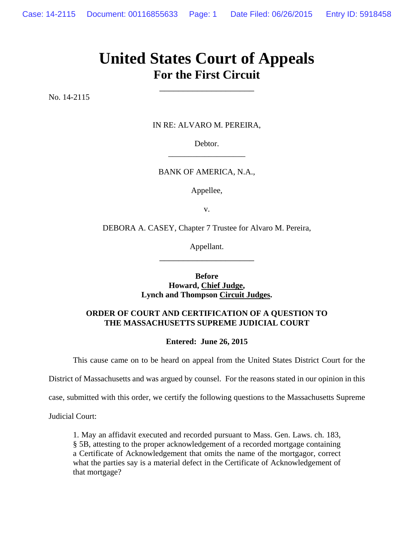## **United States Court of Appeals For the First Circuit**

\_\_\_\_\_\_\_\_\_\_\_\_\_\_\_\_\_\_\_\_

No. 14-2115

IN RE: ALVARO M. PEREIRA,

Debtor. \_\_\_\_\_\_\_\_\_\_\_\_\_\_\_\_\_\_\_

BANK OF AMERICA, N.A.,

Appellee,

v.

DEBORA A. CASEY, Chapter 7 Trustee for Alvaro M. Pereira,

Appellant. \_\_\_\_\_\_\_\_\_\_\_\_\_\_\_\_\_\_\_\_

**Before Howard, Chief Judge, Lynch and Thompson Circuit Judges.**

## **ORDER OF COURT AND CERTIFICATION OF A QUESTION TO THE MASSACHUSETTS SUPREME JUDICIAL COURT**

**Entered: June 26, 2015**

This cause came on to be heard on appeal from the United States District Court for the

District of Massachusetts and was argued by counsel. For the reasons stated in our opinion in this

case, submitted with this order, we certify the following questions to the Massachusetts Supreme

Judicial Court:

1. May an affidavit executed and recorded pursuant to Mass. Gen. Laws. ch. 183, § 5B, attesting to the proper acknowledgement of a recorded mortgage containing a Certificate of Acknowledgement that omits the name of the mortgagor, correct what the parties say is a material defect in the Certificate of Acknowledgement of that mortgage?